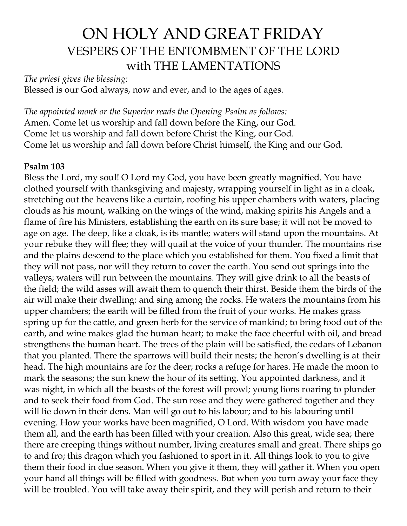# ON HOLY AND GREAT FRIDAY VESPERS OF THE ENTOMBMENT OF THE LORD with THE LAMENTATIONS

*The priest gives the blessing:* Blessed is our God always, now and ever, and to the ages of ages.

*The appointed monk or the Superior reads the Opening Psalm as follows:* Amen. Come let us worship and fall down before the King, our God. Come let us worship and fall down before Christ the King, our God. Come let us worship and fall down before Christ himself, the King and our God.

#### **Psalm 103**

Bless the Lord, my soul! O Lord my God, you have been greatly magnified. You have clothed yourself with thanksgiving and majesty, wrapping yourself in light as in a cloak, stretching out the heavens like a curtain, roofing his upper chambers with waters, placing clouds as his mount, walking on the wings of the wind, making spirits his Angels and a flame of fire his Ministers, establishing the earth on its sure base; it will not be moved to age on age. The deep, like a cloak, is its mantle; waters will stand upon the mountains. At your rebuke they will flee; they will quail at the voice of your thunder. The mountains rise and the plains descend to the place which you established for them. You fixed a limit that they will not pass, nor will they return to cover the earth. You send out springs into the valleys; waters will run between the mountains. They will give drink to all the beasts of the field; the wild asses will await them to quench their thirst. Beside them the birds of the air will make their dwelling: and sing among the rocks. He waters the mountains from his upper chambers; the earth will be filled from the fruit of your works. He makes grass spring up for the cattle, and green herb for the service of mankind; to bring food out of the earth, and wine makes glad the human heart; to make the face cheerful with oil, and bread strengthens the human heart. The trees of the plain will be satisfied, the cedars of Lebanon that you planted. There the sparrows will build their nests; the heron's dwelling is at their head. The high mountains are for the deer; rocks a refuge for hares. He made the moon to mark the seasons; the sun knew the hour of its setting. You appointed darkness, and it was night, in which all the beasts of the forest will prowl; young lions roaring to plunder and to seek their food from God. The sun rose and they were gathered together and they will lie down in their dens. Man will go out to his labour; and to his labouring until evening. How your works have been magnified, O Lord. With wisdom you have made them all, and the earth has been filled with your creation. Also this great, wide sea; there there are creeping things without number, living creatures small and great. There ships go to and fro; this dragon which you fashioned to sport in it. All things look to you to give them their food in due season. When you give it them, they will gather it. When you open your hand all things will be filled with goodness. But when you turn away your face they will be troubled. You will take away their spirit, and they will perish and return to their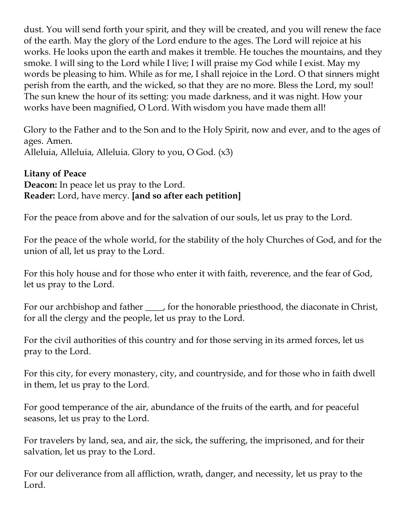dust. You will send forth your spirit, and they will be created, and you will renew the face of the earth. May the glory of the Lord endure to the ages. The Lord will rejoice at his works. He looks upon the earth and makes it tremble. He touches the mountains, and they smoke. I will sing to the Lord while I live; I will praise my God while I exist. May my words be pleasing to him. While as for me, I shall rejoice in the Lord. O that sinners might perish from the earth, and the wicked, so that they are no more. Bless the Lord, my soul! The sun knew the hour of its setting: you made darkness, and it was night. How your works have been magnified, O Lord. With wisdom you have made them all!

Glory to the Father and to the Son and to the Holy Spirit, now and ever, and to the ages of ages. Amen. Alleluia, Alleluia, Alleluia. Glory to you, O God. (x3)

#### **Litany of Peace**

**Deacon:** In peace let us pray to the Lord. **Reader:** Lord, have mercy. **[and so after each petition]**

For the peace from above and for the salvation of our souls, let us pray to the Lord.

For the peace of the whole world, for the stability of the holy Churches of God, and for the union of all, let us pray to the Lord.

For this holy house and for those who enter it with faith, reverence, and the fear of God, let us pray to the Lord.

For our archbishop and father  $\_\_\_\_$  for the honorable priesthood, the diaconate in Christ, for all the clergy and the people, let us pray to the Lord.

For the civil authorities of this country and for those serving in its armed forces, let us pray to the Lord.

For this city, for every monastery, city, and countryside, and for those who in faith dwell in them, let us pray to the Lord.

For good temperance of the air, abundance of the fruits of the earth, and for peaceful seasons, let us pray to the Lord.

For travelers by land, sea, and air, the sick, the suffering, the imprisoned, and for their salvation, let us pray to the Lord.

For our deliverance from all affliction, wrath, danger, and necessity, let us pray to the Lord.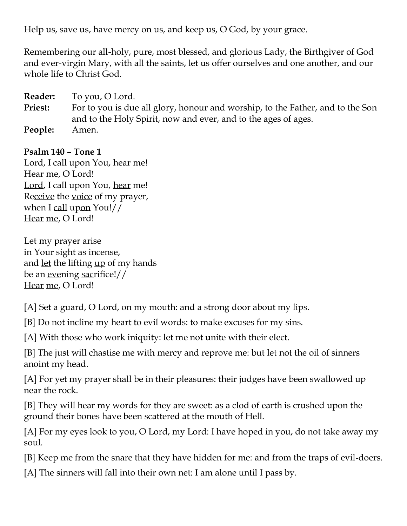Help us, save us, have mercy on us, and keep us, O God, by your grace.

Remembering our all-holy, pure, most blessed, and glorious Lady, the Birthgiver of God and ever-virgin Mary, with all the saints, let us offer ourselves and one another, and our whole life to Christ God.

**Reader:** To you, O Lord. **Priest:** For to you is due all glory, honour and worship, to the Father, and to the Son and to the Holy Spirit, now and ever, and to the ages of ages. **People:** Amen.

#### **Psalm 140 – Tone 1**

Lord, I call upon You, hear me! Hear me, O Lord! Lord, I call upon You, hear me! Receive the voice of my prayer, when I call upon You!// Hear me, O Lord!

Let my prayer arise in Your sight as incense, and let the lifting up of my hands be an evening sacrifice!// Hear me, O Lord!

[A] Set a guard, O Lord, on my mouth: and a strong door about my lips.

[B] Do not incline my heart to evil words: to make excuses for my sins.

[A] With those who work iniquity: let me not unite with their elect.

[B] The just will chastise me with mercy and reprove me: but let not the oil of sinners anoint my head.

[A] For yet my prayer shall be in their pleasures: their judges have been swallowed up near the rock.

[B] They will hear my words for they are sweet: as a clod of earth is crushed upon the ground their bones have been scattered at the mouth of Hell.

[A] For my eyes look to you, O Lord, my Lord: I have hoped in you, do not take away my soul.

[B] Keep me from the snare that they have hidden for me: and from the traps of evil-doers.

[A] The sinners will fall into their own net: I am alone until I pass by.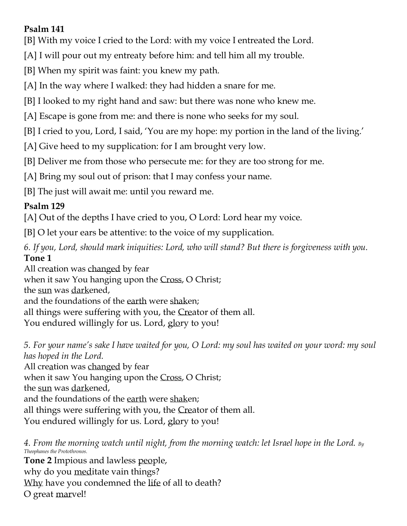## **Psalm 141**

[B] With my voice I cried to the Lord: with my voice I entreated the Lord.

[A] I will pour out my entreaty before him: and tell him all my trouble.

[B] When my spirit was faint: you knew my path.

[A] In the way where I walked: they had hidden a snare for me.

[B] I looked to my right hand and saw: but there was none who knew me.

[A] Escape is gone from me: and there is none who seeks for my soul.

[B] I cried to you, Lord, I said, 'You are my hope: my portion in the land of the living.'

[A] Give heed to my supplication: for I am brought very low.

[B] Deliver me from those who persecute me: for they are too strong for me.

[A] Bring my soul out of prison: that I may confess your name.

[B] The just will await me: until you reward me.

# **Psalm 129**

[A] Out of the depths I have cried to you, O Lord: Lord hear my voice.

[B] O let your ears be attentive: to the voice of my supplication.

*6. If you, Lord, should mark iniquities: Lord, who will stand? But there is forgiveness with you.* **Tone 1**

All creation was changed by fear when it saw You hanging upon the Cross, O Christ; the sun was darkened, and the foundations of the earth were shaken; all things were suffering with you, the Creator of them all. You endured willingly for us. Lord, glory to you!

*5. For your name's sake I have waited for you, O Lord: my soul has waited on your word: my soul has hoped in the Lord.*

All creation was changed by fear when it saw You hanging upon the Cross, O Christ; the sun was darkened, and the foundations of the earth were shaken; all things were suffering with you, the Creator of them all. You endured willingly for us. Lord, glory to you!

*4. From the morning watch until night, from the morning watch: let Israel hope in the Lord. By Theophanes the Protothronos.*

**Tone 2** Impious and lawless people, why do you meditate vain things? Why have you condemned the life of all to death? O great marvel!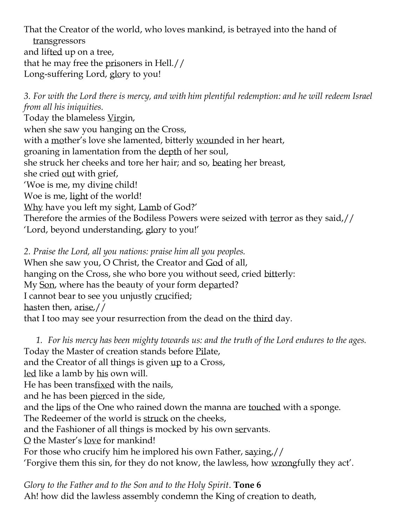That the Creator of the world, who loves mankind, is betrayed into the hand of transgressors and lifted up on a tree, that he may free the prisoners in Hell.// Long-suffering Lord, glory to you!

*3. For with the Lord there is mercy, and with him plentiful redemption: and he will redeem Israel from all his iniquities.*

Today the blameless Virgin, when she saw you hanging on the Cross, with a mother's love she lamented, bitterly wounded in her heart, groaning in lamentation from the depth of her soul, she struck her cheeks and tore her hair; and so, beating her breast, she cried out with grief, 'Woe is me, my divine child! Woe is me, light of the world! Why have you left my sight, Lamb of God?' Therefore the armies of the Bodiless Powers were seized with terror as they said,// 'Lord, beyond understanding, glory to you!'

*2. Praise the Lord, all you nations: praise him all you peoples.* When she saw you, O Christ, the Creator and God of all, hanging on the Cross, she who bore you without seed, cried bitterly: My Son, where has the beauty of your form departed? I cannot bear to see you unjustly crucified; hasten then, arise,// that I too may see your resurrection from the dead on the third day.

*1. For his mercy has been mighty towards us: and the truth of the Lord endures to the ages.* Today the Master of creation stands before Pilate, and the Creator of all things is given up to a Cross, led like a lamb by his own will. He has been transfixed with the nails, and he has been pierced in the side, and the lips of the One who rained down the manna are touched with a sponge. The Redeemer of the world is struck on the cheeks, and the Fashioner of all things is mocked by his own servants. O the Master's love for mankind! For those who crucify him he implored his own Father, saying,// 'Forgive them this sin, for they do not know, the lawless, how wrongfully they act'.

*Glory to the Father and to the Son and to the Holy Spirit*. **Tone 6** Ah! how did the lawless assembly condemn the King of creation to death,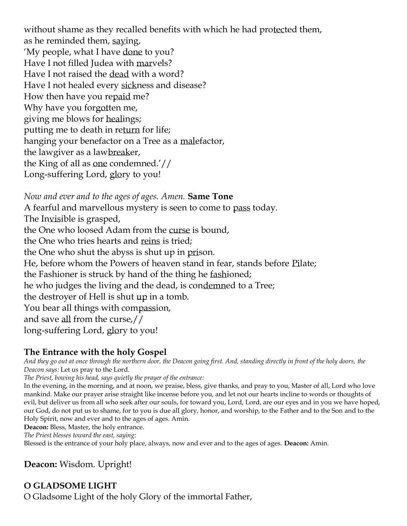without shame as they recalled benefits with which he had protected them, as he reminded them, saying, 'My people, what I have done to you? Have I not filled Judea with marvels? Have I not raised the dead with a word? Have I not healed every sickness and disease? How then have you repaid me? Why have you forgotten me, giving me blows for healings; putting me to death in return for life; hanging your benefactor on a Tree as a malefactor, the lawgiver as a lawbreaker, the King of all as one condemned.'// Long-suffering Lord, glory to you!

#### *Now and ever and to the ages of ages. Amen.* **Same Tone**

A fearful and marvellous mystery is seen to come to pass today. The Invisible is grasped, the One who loosed Adam from the curse is bound, the One who tries hearts and reins is tried; the One who shut the abyss is shut up in prison. He, before whom the Powers of heaven stand in fear, stands before Pilate; the Fashioner is struck by hand of the thing he fashioned; he who judges the living and the dead, is condemned to a Tree; the destroyer of Hell is shut up in a tomb. You bear all things with compassion, and save all from the curse,// long-suffering Lord, glory to you!

### **The Entrance with the holy Gospel**

*And they go out at once through the northern door, the Deacon going first. And, standing directly in front of the holy doors, the Deacon says:* Let us pray to the Lord.

*The Priest, bowing his head, says quietly the prayer of the entrance:*

In the evening, in the morning, and at noon, we praise, bless, give thanks, and pray to you, Master of all, Lord who love mankind. Make our prayer arise straight like incense before you, and let not our hearts incline to words or thoughts of evil, but deliver us from all who seek after our souls, for toward you, Lord, Lord, are our eyes and in you we have hoped, our God, do not put us to shame, for to you is due all glory, honor, and worship, to the Father and to the Son and to the Holy Spirit, now and ever and to the ages of ages. Amin.

**Deacon:** Bless, Master, the holy entrance.

*The Priest blesses toward the east, saying:*

Blessed is the entrance of your holy place, always, now and ever and to the ages of ages. **Deacon:** Amin.

**Deacon:** Wisdom. Upright!

## **O GLADSOME LIGHT**

O Gladsome Light of the holy Glory of the immortal Father,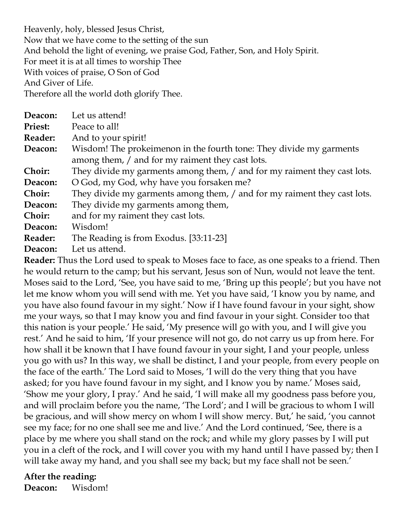Heavenly, holy, blessed Jesus Christ, Now that we have come to the setting of the sun And behold the light of evening, we praise God, Father, Son, and Holy Spirit. For meet it is at all times to worship Thee With voices of praise, O Son of God And Giver of Life. Therefore all the world doth glorify Thee.

| Deacon:        | Let us attend!                                                           |
|----------------|--------------------------------------------------------------------------|
| <b>Priest:</b> | Peace to all!                                                            |
| <b>Reader:</b> | And to your spirit!                                                      |
| Deacon:        | Wisdom! The prokeimenon in the fourth tone: They divide my garments      |
|                | among them, / and for my raiment they cast lots.                         |
| <b>Choir:</b>  | They divide my garments among them, / and for my raiment they cast lots. |
| Deacon:        | O God, my God, why have you forsaken me?                                 |
| <b>Choir:</b>  | They divide my garments among them, / and for my raiment they cast lots. |
| Deacon:        | They divide my garments among them,                                      |
| Choir:         | and for my raiment they cast lots.                                       |

- **Deacon:** Wisdom!
- **Reader:** The Reading is from Exodus. [33:11-23]
- **Deacon:** Let us attend.

**Reader:** Thus the Lord used to speak to Moses face to face, as one speaks to a friend. Then he would return to the camp; but his servant, Jesus son of Nun, would not leave the tent. Moses said to the Lord, 'See, you have said to me, 'Bring up this people'; but you have not let me know whom you will send with me. Yet you have said, 'I know you by name, and you have also found favour in my sight.' Now if I have found favour in your sight, show me your ways, so that I may know you and find favour in your sight. Consider too that this nation is your people.' He said, 'My presence will go with you, and I will give you rest.' And he said to him, 'If your presence will not go, do not carry us up from here. For how shall it be known that I have found favour in your sight, I and your people, unless you go with us? In this way, we shall be distinct, I and your people, from every people on the face of the earth.' The Lord said to Moses, 'I will do the very thing that you have asked; for you have found favour in my sight, and I know you by name.' Moses said, 'Show me your glory, I pray.' And he said, 'I will make all my goodness pass before you, and will proclaim before you the name, 'The Lord'; and I will be gracious to whom I will be gracious, and will show mercy on whom I will show mercy. But,' he said, 'you cannot see my face; for no one shall see me and live.' And the Lord continued, 'See, there is a place by me where you shall stand on the rock; and while my glory passes by I will put you in a cleft of the rock, and I will cover you with my hand until I have passed by; then I will take away my hand, and you shall see my back; but my face shall not be seen.'

#### **After the reading:**

**Deacon:** Wisdom!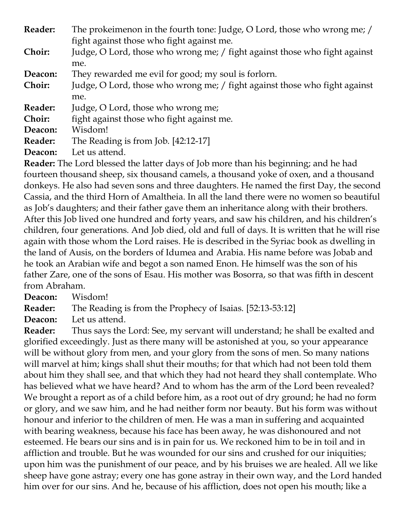**Reader:** The prokeimenon in the fourth tone: Judge, O Lord, those who wrong me; / fight against those who fight against me.

**Choir:** Judge, O Lord, those who wrong me; / fight against those who fight against me.

**Deacon:** They rewarded me evil for good; my soul is forlorn.

- **Choir:** Judge, O Lord, those who wrong me; / fight against those who fight against me.
- **Reader:** Judge, O Lord, those who wrong me;
- **Choir:** fight against those who fight against me.
- **Deacon:** Wisdom!
- **Reader:** The Reading is from Job. [42:12-17]
- **Deacon:** Let us attend.

**Reader:** The Lord blessed the latter days of Job more than his beginning; and he had fourteen thousand sheep, six thousand camels, a thousand yoke of oxen, and a thousand donkeys. He also had seven sons and three daughters. He named the first Day, the second Cassia, and the third Horn of Amaltheia. In all the land there were no women so beautiful as Job's daughters; and their father gave them an inheritance along with their brothers. After this Job lived one hundred and forty years, and saw his children, and his children's children, four generations. And Job died, old and full of days. It is written that he will rise again with those whom the Lord raises. He is described in the Syriac book as dwelling in the land of Ausis, on the borders of Idumea and Arabia. His name before was Jobab and he took an Arabian wife and begot a son named Enon. He himself was the son of his father Zare, one of the sons of Esau. His mother was Bosorra, so that was fifth in descent from Abraham.

**Deacon:** Wisdom!

**Reader:** The Reading is from the Prophecy of Isaias. [52:13-53:12]

**Deacon:** Let us attend.

**Reader:** Thus says the Lord: See, my servant will understand; he shall be exalted and glorified exceedingly. Just as there many will be astonished at you, so your appearance will be without glory from men, and your glory from the sons of men. So many nations will marvel at him; kings shall shut their mouths; for that which had not been told them about him they shall see, and that which they had not heard they shall contemplate. Who has believed what we have heard? And to whom has the arm of the Lord been revealed? We brought a report as of a child before him, as a root out of dry ground; he had no form or glory, and we saw him, and he had neither form nor beauty. But his form was without honour and inferior to the children of men. He was a man in suffering and acquainted with bearing weakness, because his face has been away, he was dishonoured and not esteemed. He bears our sins and is in pain for us. We reckoned him to be in toil and in affliction and trouble. But he was wounded for our sins and crushed for our iniquities; upon him was the punishment of our peace, and by his bruises we are healed. All we like sheep have gone astray; every one has gone astray in their own way, and the Lord handed him over for our sins. And he, because of his affliction, does not open his mouth; like a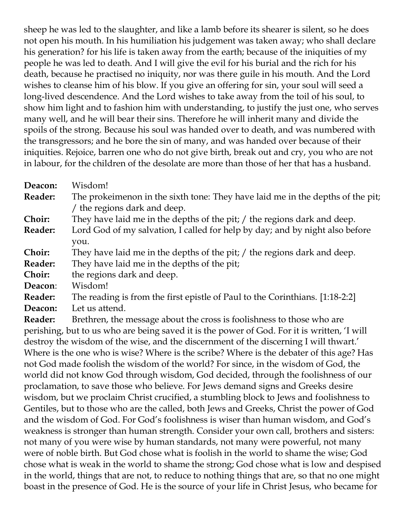sheep he was led to the slaughter, and like a lamb before its shearer is silent, so he does not open his mouth. In his humiliation his judgement was taken away; who shall declare his generation? for his life is taken away from the earth; because of the iniquities of my people he was led to death. And I will give the evil for his burial and the rich for his death, because he practised no iniquity, nor was there guile in his mouth. And the Lord wishes to cleanse him of his blow. If you give an offering for sin, your soul will seed a long-lived descendence. And the Lord wishes to take away from the toil of his soul, to show him light and to fashion him with understanding, to justify the just one, who serves many well, and he will bear their sins. Therefore he will inherit many and divide the spoils of the strong. Because his soul was handed over to death, and was numbered with the transgressors; and he bore the sin of many, and was handed over because of their iniquities. Rejoice, barren one who do not give birth, break out and cry, you who are not in labour, for the children of the desolate are more than those of her that has a husband.

| Deacon:        | Wisdom!                                                                                                      |
|----------------|--------------------------------------------------------------------------------------------------------------|
| <b>Reader:</b> | The prokeimenon in the sixth tone: They have laid me in the depths of the pit;<br>the regions dark and deep. |
| Choir:         | They have laid me in the depths of the pit; / the regions dark and deep.                                     |
| <b>Reader:</b> | Lord God of my salvation, I called for help by day; and by night also before                                 |
|                | you.                                                                                                         |
| Choir:         | They have laid me in the depths of the pit; / the regions dark and deep.                                     |
| <b>Reader:</b> | They have laid me in the depths of the pit;                                                                  |
| <b>Choir:</b>  | the regions dark and deep.                                                                                   |
| Deacon:        | Wisdom!                                                                                                      |
| <b>Reader:</b> | The reading is from the first epistle of Paul to the Corinthians. [1:18-2:2]                                 |
| Deacon:        | Let us attend.                                                                                               |
| <b>Reader:</b> | Brethren, the message about the cross is foolishness to those who are                                        |
|                | porishing but to us who are being eaved it is the power of Cod For it is written I will                      |

perishing, but to us who are being saved it is the power of God. For it is written, 'I will destroy the wisdom of the wise, and the discernment of the discerning I will thwart.' Where is the one who is wise? Where is the scribe? Where is the debater of this age? Has not God made foolish the wisdom of the world? For since, in the wisdom of God, the world did not know God through wisdom, God decided, through the foolishness of our proclamation, to save those who believe. For Jews demand signs and Greeks desire wisdom, but we proclaim Christ crucified, a stumbling block to Jews and foolishness to Gentiles, but to those who are the called, both Jews and Greeks, Christ the power of God and the wisdom of God. For God's foolishness is wiser than human wisdom, and God's weakness is stronger than human strength. Consider your own call, brothers and sisters: not many of you were wise by human standards, not many were powerful, not many were of noble birth. But God chose what is foolish in the world to shame the wise; God chose what is weak in the world to shame the strong; God chose what is low and despised in the world, things that are not, to reduce to nothing things that are, so that no one might boast in the presence of God. He is the source of your life in Christ Jesus, who became for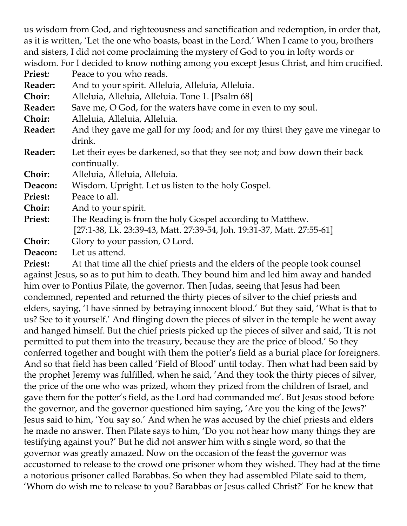us wisdom from God, and righteousness and sanctification and redemption, in order that, as it is written, 'Let the one who boasts, boast in the Lord.' When I came to you, brothers and sisters, I did not come proclaiming the mystery of God to you in lofty words or wisdom. For I decided to know nothing among you except Jesus Christ, and him crucified.

**Priest:** Peace to you who reads.

- **Reader:** And to your spirit. Alleluia, Alleluia, Alleluia.
- **Choir:** Alleluia, Alleluia, Alleluia. Tone 1. [Psalm 68]
- **Reader:** Save me, O God, for the waters have come in even to my soul.

**Choir:** Alleluia, Alleluia, Alleluia.

- **Reader:** And they gave me gall for my food; and for my thirst they gave me vinegar to drink.
- **Reader:** Let their eyes be darkened, so that they see not; and bow down their back continually.

**Choir:** Alleluia, Alleluia, Alleluia.

**Deacon:** Wisdom. Upright. Let us listen to the holy Gospel.

- **Priest:** Peace to all.
- **Choir:** And to your spirit.
- **Priest:** The Reading is from the holy Gospel according to Matthew. [27:1-38, Lk. 23:39-43, Matt. 27:39-54, Joh. 19:31-37, Matt. 27:55-61]
- **Choir:** Glory to your passion, O Lord.

**Deacon:** Let us attend.

**Priest:** At that time all the chief priests and the elders of the people took counsel against Jesus, so as to put him to death. They bound him and led him away and handed him over to Pontius Pilate, the governor. Then Judas, seeing that Jesus had been condemned, repented and returned the thirty pieces of silver to the chief priests and elders, saying, 'I have sinned by betraying innocent blood.' But they said, 'What is that to us? See to it yourself.' And flinging down the pieces of silver in the temple he went away and hanged himself. But the chief priests picked up the pieces of silver and said, 'It is not permitted to put them into the treasury, because they are the price of blood.' So they conferred together and bought with them the potter's field as a burial place for foreigners. And so that field has been called 'Field of Blood' until today. Then what had been said by the prophet Jeremy was fulfilled, when he said, 'And they took the thirty pieces of silver, the price of the one who was prized, whom they prized from the children of Israel, and gave them for the potter's field, as the Lord had commanded me'. But Jesus stood before the governor, and the governor questioned him saying, 'Are you the king of the Jews?' Jesus said to him, 'You say so.' And when he was accused by the chief priests and elders he made no answer. Then Pilate says to him, 'Do you not hear how many things they are testifying against you?' But he did not answer him with s single word, so that the governor was greatly amazed. Now on the occasion of the feast the governor was accustomed to release to the crowd one prisoner whom they wished. They had at the time a notorious prisoner called Barabbas. So when they had assembled Pilate said to them, 'Whom do wish me to release to you? Barabbas or Jesus called Christ?' For he knew that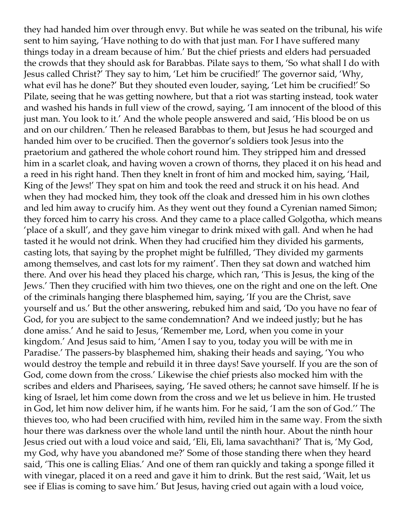they had handed him over through envy. But while he was seated on the tribunal, his wife sent to him saying, 'Have nothing to do with that just man. For I have suffered many things today in a dream because of him.' But the chief priests and elders had persuaded the crowds that they should ask for Barabbas. Pilate says to them, 'So what shall I do with Jesus called Christ?' They say to him, 'Let him be crucified!' The governor said, 'Why, what evil has he done?' But they shouted even louder, saying, 'Let him be crucified!' So Pilate, seeing that he was getting nowhere, but that a riot was starting instead, took water and washed his hands in full view of the crowd, saying, 'I am innocent of the blood of this just man. You look to it.' And the whole people answered and said, 'His blood be on us and on our children.' Then he released Barabbas to them, but Jesus he had scourged and handed him over to be crucified. Then the governor's soldiers took Jesus into the praetorium and gathered the whole cohort round him. They stripped him and dressed him in a scarlet cloak, and having woven a crown of thorns, they placed it on his head and a reed in his right hand. Then they knelt in front of him and mocked him, saying, 'Hail, King of the Jews!' They spat on him and took the reed and struck it on his head. And when they had mocked him, they took off the cloak and dressed him in his own clothes and led him away to crucify him. As they went out they found a Cyrenian named Simon; they forced him to carry his cross. And they came to a place called Golgotha, which means 'place of a skull', and they gave him vinegar to drink mixed with gall. And when he had tasted it he would not drink. When they had crucified him they divided his garments, casting lots, that saying by the prophet might be fulfilled, 'They divided my garments among themselves, and cast lots for my raiment'. Then they sat down and watched him there. And over his head they placed his charge, which ran, 'This is Jesus, the king of the Jews.' Then they crucified with him two thieves, one on the right and one on the left. One of the criminals hanging there blasphemed him, saying, 'If you are the Christ, save yourself and us.' But the other answering, rebuked him and said, 'Do you have no fear of God, for you are subject to the same condemnation? And we indeed justly; but he has done amiss.' And he said to Jesus, 'Remember me, Lord, when you come in your kingdom.' And Jesus said to him, 'Amen I say to you, today you will be with me in Paradise.' The passers-by blasphemed him, shaking their heads and saying, 'You who would destroy the temple and rebuild it in three days! Save yourself. If you are the son of God, come down from the cross.' Likewise the chief priests also mocked him with the scribes and elders and Pharisees, saying, 'He saved others; he cannot save himself. If he is king of Israel, let him come down from the cross and we let us believe in him. He trusted in God, let him now deliver him, if he wants him. For he said, 'I am the son of God.'' The thieves too, who had been crucified with him, reviled him in the same way. From the sixth hour there was darkness over the whole land until the ninth hour. About the ninth hour Jesus cried out with a loud voice and said, 'Eli, Eli, lama savachthani?' That is, 'My God, my God, why have you abandoned me?' Some of those standing there when they heard said, 'This one is calling Elias.' And one of them ran quickly and taking a sponge filled it with vinegar, placed it on a reed and gave it him to drink. But the rest said, 'Wait, let us see if Elias is coming to save him.' But Jesus, having cried out again with a loud voice,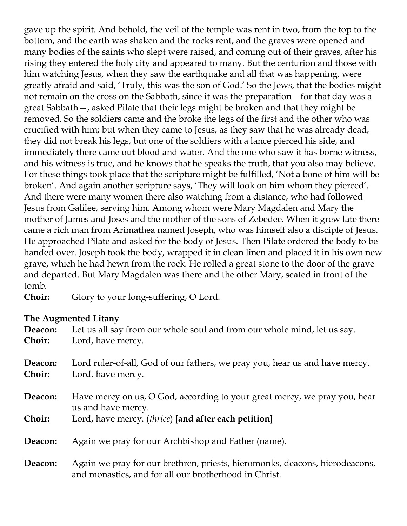gave up the spirit. And behold, the veil of the temple was rent in two, from the top to the bottom, and the earth was shaken and the rocks rent, and the graves were opened and many bodies of the saints who slept were raised, and coming out of their graves, after his rising they entered the holy city and appeared to many. But the centurion and those with him watching Jesus, when they saw the earthquake and all that was happening, were greatly afraid and said, 'Truly, this was the son of God.' So the Jews, that the bodies might not remain on the cross on the Sabbath, since it was the preparation—for that day was a great Sabbath—, asked Pilate that their legs might be broken and that they might be removed. So the soldiers came and the broke the legs of the first and the other who was crucified with him; but when they came to Jesus, as they saw that he was already dead, they did not break his legs, but one of the soldiers with a lance pierced his side, and immediately there came out blood and water. And the one who saw it has borne witness, and his witness is true, and he knows that he speaks the truth, that you also may believe. For these things took place that the scripture might be fulfilled, 'Not a bone of him will be broken'. And again another scripture says, 'They will look on him whom they pierced'. And there were many women there also watching from a distance, who had followed Jesus from Galilee, serving him. Among whom were Mary Magdalen and Mary the mother of James and Joses and the mother of the sons of Zebedee. When it grew late there came a rich man from Arimathea named Joseph, who was himself also a disciple of Jesus. He approached Pilate and asked for the body of Jesus. Then Pilate ordered the body to be handed over. Joseph took the body, wrapped it in clean linen and placed it in his own new grave, which he had hewn from the rock. He rolled a great stone to the door of the grave and departed. But Mary Magdalen was there and the other Mary, seated in front of the tomb.

**Choir:** Glory to your long-suffering, O Lord.

#### **The Augmented Litany**

| Deacon:<br><b>Choir:</b> | Let us all say from our whole soul and from our whole mind, let us say.<br>Lord, have mercy.                                         |
|--------------------------|--------------------------------------------------------------------------------------------------------------------------------------|
| Deacon:<br><b>Choir:</b> | Lord ruler-of-all, God of our fathers, we pray you, hear us and have mercy.<br>Lord, have mercy.                                     |
| Deacon:                  | Have mercy on us, O God, according to your great mercy, we pray you, hear<br>us and have mercy.                                      |
| Choir:                   | Lord, have mercy. ( <i>thrice</i> ) [and after each petition]                                                                        |
| Deacon:                  | Again we pray for our Archbishop and Father (name).                                                                                  |
| Deacon:                  | Again we pray for our brethren, priests, hieromonks, deacons, hierodeacons,<br>and monastics, and for all our brotherhood in Christ. |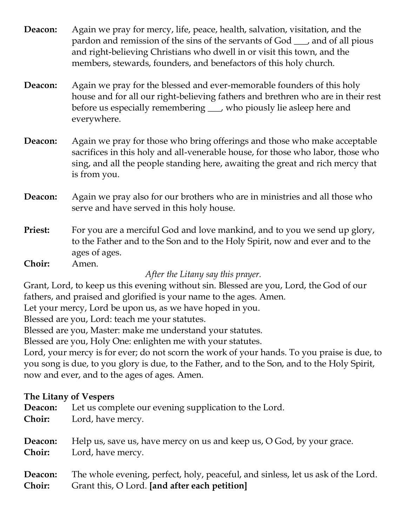| Deacon: | Again we pray for mercy, life, peace, health, salvation, visitation, and the   |
|---------|--------------------------------------------------------------------------------|
|         | pardon and remission of the sins of the servants of God ____, and of all pious |
|         | and right-believing Christians who dwell in or visit this town, and the        |
|         | members, stewards, founders, and benefactors of this holy church.              |

- **Deacon:** Again we pray for the blessed and ever-memorable founders of this holy house and for all our right-believing fathers and brethren who are in their rest before us especially remembering \_\_\_, who piously lie asleep here and everywhere.
- **Deacon:** Again we pray for those who bring offerings and those who make acceptable sacrifices in this holy and all-venerable house, for those who labor, those who sing, and all the people standing here, awaiting the great and rich mercy that is from you.
- **Deacon:** Again we pray also for our brothers who are in ministries and all those who serve and have served in this holy house.
- **Priest:** For you are a merciful God and love mankind, and to you we send up glory, to the Father and to the Son and to the Holy Spirit, now and ever and to the ages of ages.
- **Choir:** Amen.

## *After the Litany say this prayer.*

Grant, Lord, to keep us this evening without sin. Blessed are you, Lord, the God of our fathers, and praised and glorified is your name to the ages. Amen.

Let your mercy, Lord be upon us, as we have hoped in you.

Blessed are you, Lord: teach me your statutes.

Blessed are you, Master: make me understand your statutes.

Blessed are you, Holy One: enlighten me with your statutes.

Lord, your mercy is for ever; do not scorn the work of your hands. To you praise is due, to you song is due, to you glory is due, to the Father, and to the Son, and to the Holy Spirit, now and ever, and to the ages of ages. Amen.

## **The Litany of Vespers**

- **Deacon:** Let us complete our evening supplication to the Lord.
- **Choir:** Lord, have mercy.

| Deacon:<br><b>Choir:</b> | Help us, save us, have mercy on us and keep us, O God, by your grace.<br>Lord, have mercy. |
|--------------------------|--------------------------------------------------------------------------------------------|
| Deacon:                  | The whole evening, perfect, holy, peaceful, and sinless, let us ask of the Lord.           |
| <b>Choir:</b>            | Grant this, O Lord. [and after each petition]                                              |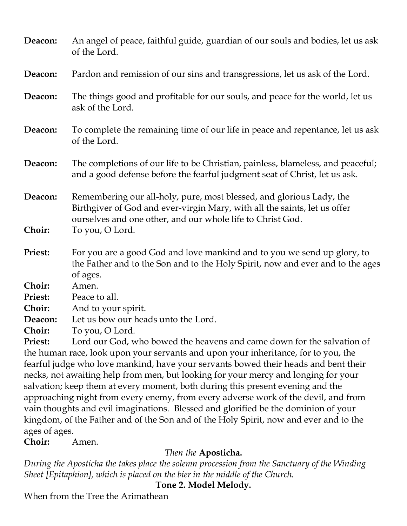| Deacon:                                                                                                                                                                   | An angel of peace, faithful guide, guardian of our souls and bodies, let us ask<br>of the Lord.                                                                                                                 |  |  |
|---------------------------------------------------------------------------------------------------------------------------------------------------------------------------|-----------------------------------------------------------------------------------------------------------------------------------------------------------------------------------------------------------------|--|--|
| Deacon:                                                                                                                                                                   | Pardon and remission of our sins and transgressions, let us ask of the Lord.                                                                                                                                    |  |  |
| Deacon:                                                                                                                                                                   | The things good and profitable for our souls, and peace for the world, let us<br>ask of the Lord.                                                                                                               |  |  |
| Deacon:                                                                                                                                                                   | To complete the remaining time of our life in peace and repentance, let us ask<br>of the Lord.                                                                                                                  |  |  |
| Deacon:                                                                                                                                                                   | The completions of our life to be Christian, painless, blameless, and peaceful;<br>and a good defense before the fearful judgment seat of Christ, let us ask.                                                   |  |  |
| Deacon:                                                                                                                                                                   | Remembering our all-holy, pure, most blessed, and glorious Lady, the<br>Birthgiver of God and ever-virgin Mary, with all the saints, let us offer<br>ourselves and one other, and our whole life to Christ God. |  |  |
| Choir:                                                                                                                                                                    | To you, O Lord.                                                                                                                                                                                                 |  |  |
| Priest:                                                                                                                                                                   | For you are a good God and love mankind and to you we send up glory, to<br>the Father and to the Son and to the Holy Spirit, now and ever and to the ages<br>of ages.                                           |  |  |
| Choir:                                                                                                                                                                    | Amen.                                                                                                                                                                                                           |  |  |
| Priest:                                                                                                                                                                   | Peace to all.                                                                                                                                                                                                   |  |  |
| Choir:                                                                                                                                                                    | And to your spirit.                                                                                                                                                                                             |  |  |
| Deacon:                                                                                                                                                                   | Let us bow our heads unto the Lord.                                                                                                                                                                             |  |  |
| Choir:                                                                                                                                                                    | To you, O Lord.                                                                                                                                                                                                 |  |  |
| Priest:                                                                                                                                                                   | Lord our God, who bowed the heavens and came down for the salvation of                                                                                                                                          |  |  |
| the human race, look upon your servants and upon your inheritance, for to you, the<br>fearful judge who love mankind, have your servants bowed their heads and bent their |                                                                                                                                                                                                                 |  |  |
| necks, not awaiting help from men, but looking for your mercy and longing for your                                                                                        |                                                                                                                                                                                                                 |  |  |
|                                                                                                                                                                           |                                                                                                                                                                                                                 |  |  |

salvation; keep them at every moment, both during this present evening and the approaching night from every enemy, from every adverse work of the devil, and from vain thoughts and evil imaginations. Blessed and glorified be the dominion of your kingdom, of the Father and of the Son and of the Holy Spirit, now and ever and to the ages of ages.

**Choir:** Amen.

## *Then the* **Aposticha.**

*During the Aposticha the takes place the solemn procession from the Sanctuary of the Winding Sheet [Epitaphion], which is placed on the bier in the middle of the Church.*

## **Tone 2. Model Melody.**

When from the Tree the Arimathean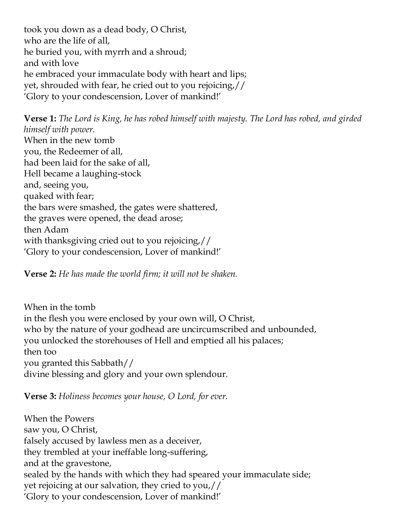took you down as a dead body, O Christ, who are the life of all, he buried you, with myrrh and a shroud; and with love he embraced your immaculate body with heart and lips; yet, shrouded with fear, he cried out to you rejoicing,// 'Glory to your condescension, Lover of mankind!'

**Verse 1:** *The Lord is King, he has robed himself with majesty. The Lord has robed, and girded himself with power.* When in the new tomb you, the Redeemer of all, had been laid for the sake of all, Hell became a laughing-stock and, seeing you, quaked with fear; the bars were smashed, the gates were shattered, the graves were opened, the dead arose; then Adam with thanksgiving cried out to you rejoicing,// 'Glory to your condescension, Lover of mankind!'

**Verse 2:** *He has made the world firm; it will not be shaken.*

When in the tomb in the flesh you were enclosed by your own will, O Christ, who by the nature of your godhead are uncircumscribed and unbounded, you unlocked the storehouses of Hell and emptied all his palaces; then too you granted this Sabbath// divine blessing and glory and your own splendour.

**Verse 3:** *Holiness becomes your house, O Lord, for ever.*

When the Powers saw you, O Christ, falsely accused by lawless men as a deceiver, they trembled at your ineffable long-suffering, and at the gravestone, sealed by the hands with which they had speared your immaculate side; yet rejoicing at our salvation, they cried to you,// 'Glory to your condescension, Lover of mankind!'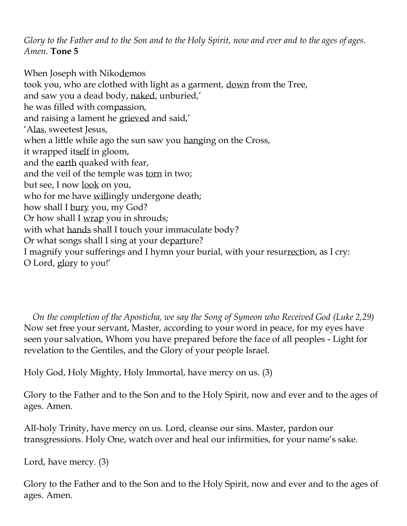*Glory to the Father and to the Son and to the Holy Spirit, now and ever and to the ages of ages. Amen.* **Tone 5**

When Joseph with Nikodemos took you, who are clothed with light as a garment, down from the Tree, and saw you a dead body, naked, unburied,' he was filled with compassion, and raising a lament he grieved and said,' 'Alas, sweetest Jesus, when a little while ago the sun saw you hanging on the Cross, it wrapped itself in gloom, and the earth quaked with fear, and the veil of the temple was torn in two; but see, I now look on you, who for me have willingly undergone death; how shall I bury you, my God? Or how shall I wrap you in shrouds; with what hands shall I touch your immaculate body? Or what songs shall I sing at your departure? I magnify your sufferings and I hymn your burial, with your resurrection, as I cry: O Lord, glory to you!'

*On the completion of the Aposticha, we say the Song of Symeon who Received God (Luke 2,29)* Now set free your servant, Master, according to your word in peace, for my eyes have seen your salvation, Whom you have prepared before the face of all peoples - Light for revelation to the Gentiles, and the Glory of your people Israel.

Holy God, Holy Mighty, Holy Immortal, have mercy on us. (3)

Glory to the Father and to the Son and to the Holy Spirit, now and ever and to the ages of ages. Amen.

All-holy Trinity, have mercy on us. Lord, cleanse our sins. Master, pardon our transgressions. Holy One, watch over and heal our infirmities, for your name's sake.

Lord, have mercy. (3)

Glory to the Father and to the Son and to the Holy Spirit, now and ever and to the ages of ages. Amen.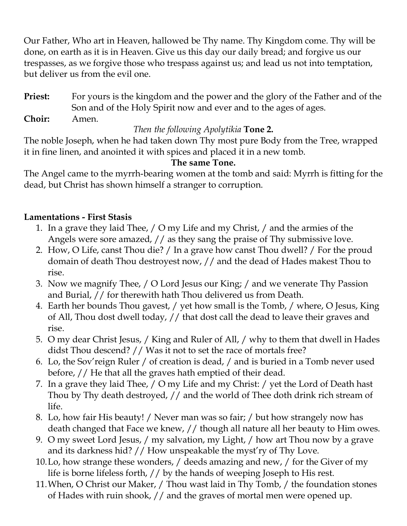Our Father, Who art in Heaven, hallowed be Thy name. Thy Kingdom come. Thy will be done, on earth as it is in Heaven. Give us this day our daily bread; and forgive us our trespasses, as we forgive those who trespass against us; and lead us not into temptation, but deliver us from the evil one.

- **Priest:** For yours is the kingdom and the power and the glory of the Father and of the Son and of the Holy Spirit now and ever and to the ages of ages.
- **Choir:** Amen.

## *Then the following Apolytikia* **Tone 2.**

The noble Joseph, when he had taken down Thy most pure Body from the Tree, wrapped it in fine linen, and anointed it with spices and placed it in a new tomb.

## **The same Tone.**

The Angel came to the myrrh-bearing women at the tomb and said: Myrrh is fitting for the dead, but Christ has shown himself a stranger to corruption.

## **Lamentations - First Stasis**

- 1. In a grave they laid Thee, / O my Life and my Christ, / and the armies of the Angels were sore amazed, // as they sang the praise of Thy submissive love.
- 2. How, O Life, canst Thou die? / In a grave how canst Thou dwell? / For the proud domain of death Thou destroyest now, // and the dead of Hades makest Thou to rise.
- 3. Now we magnify Thee, / O Lord Jesus our King; / and we venerate Thy Passion and Burial, // for therewith hath Thou delivered us from Death.
- 4. Earth her bounds Thou gavest, / yet how small is the Tomb, / where, O Jesus, King of All, Thou dost dwell today, // that dost call the dead to leave their graves and rise.
- 5. O my dear Christ Jesus, / King and Ruler of All, / why to them that dwell in Hades didst Thou descend? // Was it not to set the race of mortals free?
- 6. Lo, the Sov'reign Ruler / of creation is dead, / and is buried in a Tomb never used before, // He that all the graves hath emptied of their dead.
- 7. In a grave they laid Thee, / O my Life and my Christ: / yet the Lord of Death hast Thou by Thy death destroyed, // and the world of Thee doth drink rich stream of life.
- 8. Lo, how fair His beauty! / Never man was so fair; / but how strangely now has death changed that Face we knew, // though all nature all her beauty to Him owes.
- 9. O my sweet Lord Jesus, / my salvation, my Light, / how art Thou now by a grave and its darkness hid? // How unspeakable the myst'ry of Thy Love.
- 10.Lo, how strange these wonders, / deeds amazing and new, / for the Giver of my life is borne lifeless forth, // by the hands of weeping Joseph to His rest.
- 11.When, O Christ our Maker, / Thou wast laid in Thy Tomb, / the foundation stones of Hades with ruin shook, // and the graves of mortal men were opened up.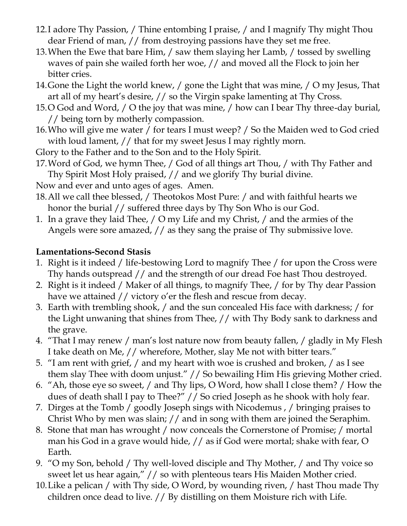- 12.I adore Thy Passion, / Thine entombing I praise, / and I magnify Thy might Thou dear Friend of man, // from destroying passions have they set me free.
- 13.When the Ewe that bare Him, / saw them slaying her Lamb, / tossed by swelling waves of pain she wailed forth her woe, // and moved all the Flock to join her bitter cries.
- 14.Gone the Light the world knew, / gone the Light that was mine, / O my Jesus, That art all of my heart's desire, // so the Virgin spake lamenting at Thy Cross.
- 15.O God and Word, / O the joy that was mine, / how can I bear Thy three-day burial, // being torn by motherly compassion.
- 16.Who will give me water / for tears I must weep? / So the Maiden wed to God cried with loud lament, // that for my sweet Jesus I may rightly morn.

Glory to the Father and to the Son and to the Holy Spirit.

17.Word of God, we hymn Thee, / God of all things art Thou, / with Thy Father and Thy Spirit Most Holy praised, // and we glorify Thy burial divine.

Now and ever and unto ages of ages. Amen.

- 18.All we call thee blessed, / Theotokos Most Pure: / and with faithful hearts we honor the burial // suffered three days by Thy Son Who is our God.
- 1. In a grave they laid Thee, / O my Life and my Christ, / and the armies of the Angels were sore amazed, // as they sang the praise of Thy submissive love.

## **Lamentations-Second Stasis**

- 1. Right is it indeed / life-bestowing Lord to magnify Thee / for upon the Cross were Thy hands outspread // and the strength of our dread Foe hast Thou destroyed.
- 2. Right is it indeed / Maker of all things, to magnify Thee, / for by Thy dear Passion have we attained // victory o'er the flesh and rescue from decay.
- 3. Earth with trembling shook, / and the sun concealed His face with darkness; / for the Light unwaning that shines from Thee, // with Thy Body sank to darkness and the grave.
- 4. "That I may renew / man's lost nature now from beauty fallen, / gladly in My Flesh I take death on Me, // wherefore, Mother, slay Me not with bitter tears."
- 5. "I am rent with grief, / and my heart with woe is crushed and broken, / as I see them slay Thee with doom unjust." // So bewailing Him His grieving Mother cried.
- 6. "Ah, those eye so sweet, / and Thy lips, O Word, how shall I close them? / How the dues of death shall I pay to Thee?" // So cried Joseph as he shook with holy fear.
- 7. Dirges at the Tomb / goodly Joseph sings with Nicodemus , / bringing praises to Christ Who by men was slain; // and in song with them are joined the Seraphim.
- 8. Stone that man has wrought / now conceals the Cornerstone of Promise; / mortal man his God in a grave would hide, // as if God were mortal; shake with fear, O Earth.
- 9. "O my Son, behold / Thy well-loved disciple and Thy Mother, / and Thy voice so sweet let us hear again," // so with plenteous tears His Maiden Mother cried.
- 10.Like a pelican / with Thy side, O Word, by wounding riven, / hast Thou made Thy children once dead to live. // By distilling on them Moisture rich with Life.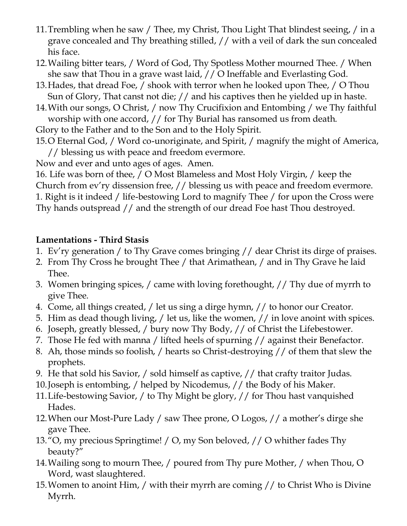- 11.Trembling when he saw / Thee, my Christ, Thou Light That blindest seeing, / in a grave concealed and Thy breathing stilled, // with a veil of dark the sun concealed his face.
- 12.Wailing bitter tears, / Word of God, Thy Spotless Mother mourned Thee. / When she saw that Thou in a grave wast laid, // O Ineffable and Everlasting God.
- 13.Hades, that dread Foe, / shook with terror when he looked upon Thee, / O Thou Sun of Glory, That canst not die; // and his captives then he yielded up in haste.
- 14.With our songs, O Christ, / now Thy Crucifixion and Entombing / we Thy faithful worship with one accord, // for Thy Burial has ransomed us from death.
- Glory to the Father and to the Son and to the Holy Spirit.
- 15.O Eternal God, / Word co-unoriginate, and Spirit, / magnify the might of America, // blessing us with peace and freedom evermore.

Now and ever and unto ages of ages. Amen.

16. Life was born of thee, / O Most Blameless and Most Holy Virgin, / keep the Church from ev'ry dissension free, // blessing us with peace and freedom evermore. 1. Right is it indeed / life-bestowing Lord to magnify Thee / for upon the Cross were Thy hands outspread // and the strength of our dread Foe hast Thou destroyed.

## **Lamentations - Third Stasis**

- 1. Ev'ry generation / to Thy Grave comes bringing // dear Christ its dirge of praises.
- 2. From Thy Cross he brought Thee / that Arimathean, / and in Thy Grave he laid Thee.
- 3. Women bringing spices, / came with loving forethought, // Thy due of myrrh to give Thee.
- 4. Come, all things created, / let us sing a dirge hymn, // to honor our Creator.
- 5. Him as dead though living, / let us, like the women, // in love anoint with spices.
- 6. Joseph, greatly blessed, / bury now Thy Body, // of Christ the Lifebestower.
- 7. Those He fed with manna / lifted heels of spurning // against their Benefactor.
- 8. Ah, those minds so foolish, / hearts so Christ-destroying // of them that slew the prophets.
- 9. He that sold his Savior, / sold himself as captive, // that crafty traitor Judas.
- 10.Joseph is entombing, / helped by Nicodemus, // the Body of his Maker.
- 11.Life-bestowing Savior, / to Thy Might be glory, // for Thou hast vanquished Hades.
- 12.When our Most-Pure Lady / saw Thee prone, O Logos, // a mother's dirge she gave Thee.
- 13."O, my precious Springtime! / O, my Son beloved, // O whither fades Thy beauty?"
- 14.Wailing song to mourn Thee, / poured from Thy pure Mother, / when Thou, O Word, wast slaughtered.
- 15.Women to anoint Him, / with their myrrh are coming // to Christ Who is Divine Myrrh.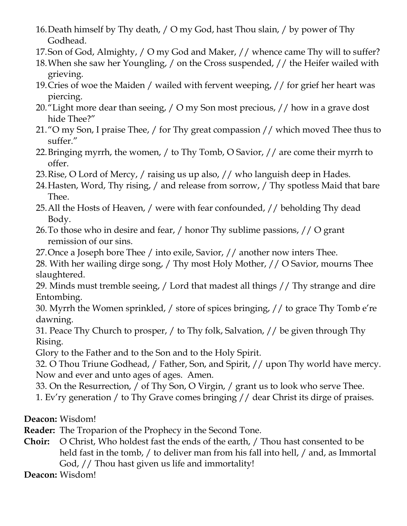- 16.Death himself by Thy death, / O my God, hast Thou slain, / by power of Thy Godhead.
- 17.Son of God, Almighty, / O my God and Maker, // whence came Thy will to suffer?
- 18.When she saw her Youngling, / on the Cross suspended, // the Heifer wailed with grieving.
- 19.Cries of woe the Maiden / wailed with fervent weeping, // for grief her heart was piercing.
- 20."Light more dear than seeing, / O my Son most precious, // how in a grave dost hide Thee?"
- 21."O my Son, I praise Thee, / for Thy great compassion // which moved Thee thus to suffer."
- 22.Bringing myrrh, the women, / to Thy Tomb, O Savior, // are come their myrrh to offer.
- 23.Rise, O Lord of Mercy, / raising us up also, // who languish deep in Hades.
- 24.Hasten, Word, Thy rising, / and release from sorrow, / Thy spotless Maid that bare Thee.
- 25.All the Hosts of Heaven, / were with fear confounded, // beholding Thy dead Body.
- 26.To those who in desire and fear, / honor Thy sublime passions, // O grant remission of our sins.
- 27.Once a Joseph bore Thee / into exile, Savior, // another now inters Thee.

28. With her wailing dirge song, / Thy most Holy Mother, // O Savior, mourns Thee slaughtered.

29. Minds must tremble seeing, / Lord that madest all things // Thy strange and dire Entombing.

30. Myrrh the Women sprinkled, / store of spices bringing, // to grace Thy Tomb e're dawning.

31. Peace Thy Church to prosper, / to Thy folk, Salvation, // be given through Thy Rising.

Glory to the Father and to the Son and to the Holy Spirit.

32. O Thou Triune Godhead, / Father, Son, and Spirit, // upon Thy world have mercy. Now and ever and unto ages of ages. Amen.

33. On the Resurrection, / of Thy Son, O Virgin, / grant us to look who serve Thee.

1. Ev'ry generation / to Thy Grave comes bringing // dear Christ its dirge of praises.

**Deacon:** Wisdom!

- **Reader:** The Troparion of the Prophecy in the Second Tone.
- **Choir:** O Christ, Who holdest fast the ends of the earth, / Thou hast consented to be held fast in the tomb, / to deliver man from his fall into hell, / and, as Immortal God, // Thou hast given us life and immortality!

**Deacon:** Wisdom!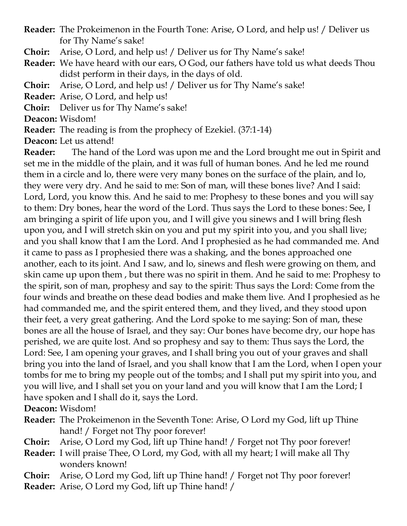**Reader:** The Prokeimenon in the Fourth Tone: Arise, O Lord, and help us! / Deliver us for Thy Name's sake!

**Choir:** Arise, O Lord, and help us! / Deliver us for Thy Name's sake!

**Reader:** We have heard with our ears, O God, our fathers have told us what deeds Thou didst perform in their days, in the days of old.

**Choir:** Arise, O Lord, and help us! / Deliver us for Thy Name's sake!

**Reader:** Arise, O Lord, and help us!

**Choir:** Deliver us for Thy Name's sake!

**Deacon:** Wisdom!

**Reader:** The reading is from the prophecy of Ezekiel. (37:1-14)

**Deacon:** Let us attend!

**Reader:** The hand of the Lord was upon me and the Lord brought me out in Spirit and set me in the middle of the plain, and it was full of human bones. And he led me round them in a circle and lo, there were very many bones on the surface of the plain, and lo, they were very dry. And he said to me: Son of man, will these bones live? And I said: Lord, Lord, you know this. And he said to me: Prophesy to these bones and you will say to them: Dry bones, hear the word of the Lord. Thus says the Lord to these bones: See, I am bringing a spirit of life upon you, and I will give you sinews and I will bring flesh upon you, and I will stretch skin on you and put my spirit into you, and you shall live; and you shall know that I am the Lord. And I prophesied as he had commanded me. And it came to pass as I prophesied there was a shaking, and the bones approached one another, each to its joint. And I saw, and lo, sinews and flesh were growing on them, and skin came up upon them , but there was no spirit in them. And he said to me: Prophesy to the spirit, son of man, prophesy and say to the spirit: Thus says the Lord: Come from the four winds and breathe on these dead bodies and make them live. And I prophesied as he had commanded me, and the spirit entered them, and they lived, and they stood upon their feet, a very great gathering. And the Lord spoke to me saying: Son of man, these bones are all the house of Israel, and they say: Our bones have become dry, our hope has perished, we are quite lost. And so prophesy and say to them: Thus says the Lord, the Lord: See, I am opening your graves, and I shall bring you out of your graves and shall bring you into the land of Israel, and you shall know that I am the Lord, when I open your tombs for me to bring my people out of the tombs; and I shall put my spirit into you, and you will live, and I shall set you on your land and you will know that I am the Lord; I have spoken and I shall do it, says the Lord.

**Deacon:** Wisdom!

**Reader:** The Prokeimenon in the Seventh Tone: Arise, O Lord my God, lift up Thine hand! / Forget not Thy poor forever!

**Choir:** Arise, O Lord my God, lift up Thine hand! / Forget not Thy poor forever!

**Reader:** I will praise Thee, O Lord, my God, with all my heart; I will make all Thy wonders known!

**Choir:** Arise, O Lord my God, lift up Thine hand! / Forget not Thy poor forever!

**Reader:** Arise, O Lord my God, lift up Thine hand! /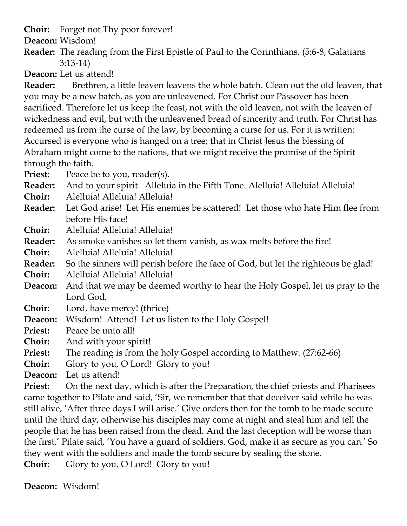**Choir:** Forget not Thy poor forever!

**Deacon:** Wisdom!

**Reader:** The reading from the First Epistle of Paul to the Corinthians. (5:6-8, Galatians 3:13-14)

**Deacon:** Let us attend!

**Reader:** Brethren, a little leaven leavens the whole batch. Clean out the old leaven, that you may be a new batch, as you are unleavened. For Christ our Passover has been sacrificed. Therefore let us keep the feast, not with the old leaven, not with the leaven of wickedness and evil, but with the unleavened bread of sincerity and truth. For Christ has redeemed us from the curse of the law, by becoming a curse for us. For it is written: Accursed is everyone who is hanged on a tree; that in Christ Jesus the blessing of Abraham might come to the nations, that we might receive the promise of the Spirit through the faith.

**Priest:** Peace be to you, reader(s).

**Reader:** And to your spirit. Alleluia in the Fifth Tone. Alelluia! Alleluia! Alleluia!

**Choir:** Alelluia! Alleluia! Alleluia!

- **Reader:** Let God arise! Let His enemies be scattered! Let those who hate Him flee from before His face!
- **Choir:** Alelluia! Alleluia! Alleluia!
- **Reader:** As smoke vanishes so let them vanish, as wax melts before the fire!
- **Choir:** Alelluia! Alleluia! Alleluia!
- **Reader:** So the sinners will perish before the face of God, but let the righteous be glad!

**Choir:** Alelluia! Alleluia! Alleluia!

- **Deacon:** And that we may be deemed worthy to hear the Holy Gospel, let us pray to the Lord God.
- **Choir:** Lord, have mercy! (thrice)
- **Deacon:** Wisdom! Attend! Let us listen to the Holy Gospel!
- **Priest:** Peace be unto all!
- **Choir:** And with your spirit!
- **Priest:** The reading is from the holy Gospel according to Matthew. (27:62-66)
- **Choir:** Glory to you, O Lord! Glory to you!
- **Deacon:** Let us attend!

**Priest:** On the next day, which is after the Preparation, the chief priests and Pharisees came together to Pilate and said, 'Sir, we remember that that deceiver said while he was still alive, 'After three days I will arise.' Give orders then for the tomb to be made secure until the third day, otherwise his disciples may come at night and steal him and tell the people that he has been raised from the dead. And the last deception will be worse than the first.' Pilate said, 'You have a guard of soldiers. God, make it as secure as you can.' So they went with the soldiers and made the tomb secure by sealing the stone. **Choir:** Glory to you, O Lord! Glory to you!

**Deacon:** Wisdom!